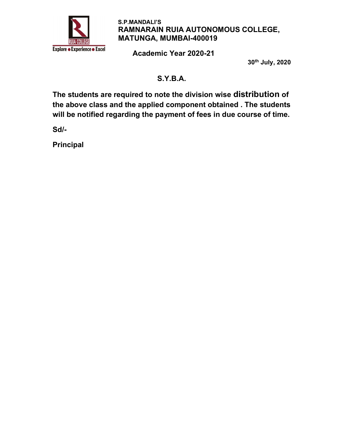

Academic Year 2020-21

30th July, 2020

# S.Y.B.A.

The students are required to note the division wise distribution of the above class and the applied component obtained . The students will be notified regarding the payment of fees in due course of time.

Sd/-

Principal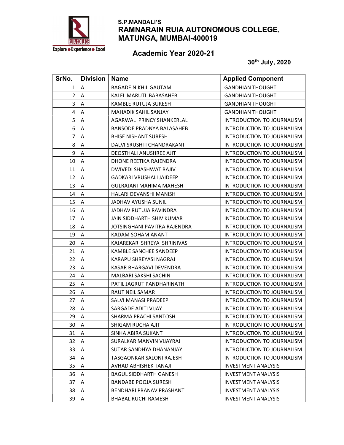

### Academic Year 2020-21

| SrNo.          | <b>Division</b> | <b>Name</b>                      | <b>Applied Component</b>          |
|----------------|-----------------|----------------------------------|-----------------------------------|
| $\mathbf{1}$   | Α               | <b>BAGADE NIKHIL GAUTAM</b>      | <b>GANDHIAN THOUGHT</b>           |
| $\overline{2}$ | Α               | KALEL MARUTI BABASAHEB           | <b>GANDHIAN THOUGHT</b>           |
| 3              | Α               | KAMBLE RUTUJA SURESH             | <b>GANDHIAN THOUGHT</b>           |
| 4              | Α               | <b>MAHADIK SAHIL SANJAY</b>      | <b>GANDHIAN THOUGHT</b>           |
| 5              | Α               | AGARWAL PRINCY SHANKERLAL        | INTRODUCTION TO JOURNALISM        |
| 6              | A               | <b>BANSODE PRADNYA BALASAHEB</b> | INTRODUCTION TO JOURNALISM        |
| 7              | A               | <b>BHISE NISHANT SURESH</b>      | INTRODUCTION TO JOURNALISM        |
| 8              | A               | DALVI SRUSHTI CHANDRAKANT        | <b>INTRODUCTION TO JOURNALISM</b> |
| 9              | Α               | <b>DEOSTHALI ANUSHREE AJIT</b>   | INTRODUCTION TO JOURNALISM        |
| 10             | Α               | DHONE REETIKA RAJENDRA           | INTRODUCTION TO JOURNALISM        |
| 11             | Α               | DWIVEDI SHASHWAT RAJIV           | INTRODUCTION TO JOURNALISM        |
| 12             | Α               | <b>GADKARI VRUSHALI JAIDEEP</b>  | INTRODUCTION TO JOURNALISM        |
| 13             | A               | <b>GULRAJANI MAHIMA MAHESH</b>   | INTRODUCTION TO JOURNALISM        |
| 14             | A               | HALARI DEVANSHI MANISH           | <b>INTRODUCTION TO JOURNALISM</b> |
| 15             | A               | <b>JADHAV AYUSHA SUNIL</b>       | INTRODUCTION TO JOURNALISM        |
| 16             | Α               | JADHAV RUTUJA RAVINDRA           | INTRODUCTION TO JOURNALISM        |
| 17             | Α               | JAIN SIDDHARTH SHIV KUMAR        | INTRODUCTION TO JOURNALISM        |
| 18             | Α               | JOTSINGHANI PAVITRA RAJENDRA     | INTRODUCTION TO JOURNALISM        |
| 19             | Α               | KADAM SOHAM ANANT                | <b>INTRODUCTION TO JOURNALISM</b> |
| 20             | A               | KAJAREKAR SHREYA SHRINIVAS       | INTRODUCTION TO JOURNALISM        |
| 21             | Α               | <b>KAMBLE SANCHEE SANDEEP</b>    | INTRODUCTION TO JOURNALISM        |
| 22             | A               | KARAPU SHREYASI NAGRAJ           | INTRODUCTION TO JOURNALISM        |
| 23             | Α               | KASAR BHARGAVI DEVENDRA          | INTRODUCTION TO JOURNALISM        |
| 24             | Α               | MALBARI SAKSHI SACHIN            | INTRODUCTION TO JOURNALISM        |
| 25             | Α               | PATIL JAGRUT PANDHARINATH        | INTRODUCTION TO JOURNALISM        |
| 26             | Α               | <b>RAUT NEIL SAMAR</b>           | INTRODUCTION TO JOURNALISM        |
| 27             | A               | SALVI MANASI PRADEEP             | INTRODUCTION TO JOURNALISM        |
| 28             | A               | SARGADE ADITI VIJAY              | INTRODUCTION TO JOURNALISM        |
| 29             | A               | SHARMA PRACHI SANTOSH            | <b>INTRODUCTION TO JOURNALISM</b> |
| 30             | A               | SHIGAM RUCHA AJIT                | INTRODUCTION TO JOURNALISM        |
| 31             | Α               | SINHA ABIRA SUKANT               | <b>INTRODUCTION TO JOURNALISM</b> |
| 32             | А               | SURALKAR MANVIN VIJAYRAJ         | INTRODUCTION TO JOURNALISM        |
| 33             | Α               | SUTAR SANDHYA DHANANJAY          | <b>INTRODUCTION TO JOURNALISM</b> |
| 34             | A               | TASGAONKAR SALONI RAJESH         | INTRODUCTION TO JOURNALISM        |
| 35             | Α               | AVHAD ABHISHEK TANAJI            | <b>INVESTMENT ANALYSIS</b>        |
| 36             | A               | <b>BAGUL SIDDHARTH GANESH</b>    | <b>INVESTMENT ANALYSIS</b>        |
| 37             | Α               | <b>BANDABE POOJA SURESH</b>      | <b>INVESTMENT ANALYSIS</b>        |
| 38             | Α               | BENDHARI PRANAV PRASHANT         | <b>INVESTMENT ANALYSIS</b>        |
| 39             | Α               | <b>BHABAL RUCHI RAMESH</b>       | <b>INVESTMENT ANALYSIS</b>        |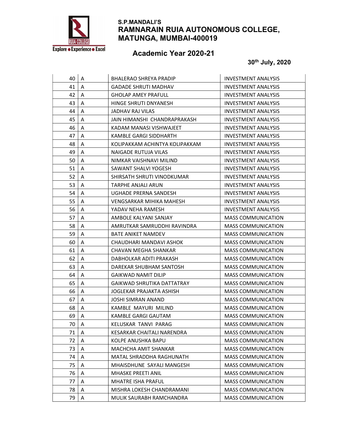

# Academic Year 2020-21

| 40 | Α | BHALERAO SHREYA PRADIP            | <b>INVESTMENT ANALYSIS</b> |
|----|---|-----------------------------------|----------------------------|
| 41 | A | GADADE SHRUTI MADHAV              | <b>INVESTMENT ANALYSIS</b> |
| 42 | Α | <b>GHOLAP AMEY PRAFULL</b>        | <b>INVESTMENT ANALYSIS</b> |
| 43 | Α | HINGE SHRUTI DNYANESH             | <b>INVESTMENT ANALYSIS</b> |
| 44 | A | JADHAV RAJ VILAS                  | <b>INVESTMENT ANALYSIS</b> |
| 45 | A | JAIN HIMANSHI CHANDRAPRAKASH      | <b>INVESTMENT ANALYSIS</b> |
| 46 | A | KADAM MANASI VISHWAJEET           | INVESTMENT ANALYSIS        |
| 47 | A | KAMBLE GARGI SIDDHARTH            | <b>INVESTMENT ANALYSIS</b> |
| 48 | Α | KOLIPAKKAM ACHINTYA KOLIPAKKAM    | <b>INVESTMENT ANALYSIS</b> |
| 49 | Α | NAIGADE RUTUJA VILAS              | INVESTMENT ANALYSIS        |
| 50 | A | NIMKAR VAISHNAVI MILIND           | <b>INVESTMENT ANALYSIS</b> |
| 51 | Α | SAWANT SHALVI YOGESH              | <b>INVESTMENT ANALYSIS</b> |
| 52 | Α | SHIRSATH SHRUTI VINODKUMAR        | <b>INVESTMENT ANALYSIS</b> |
| 53 | Α | <b>TARPHE ANJALI ARUN</b>         | INVESTMENT ANALYSIS        |
| 54 | A | UGHADE PRERNA SANDESH             | INVESTMENT ANALYSIS        |
| 55 | Α | <b>VENGSARKAR MIHIKA MAHESH</b>   | <b>INVESTMENT ANALYSIS</b> |
| 56 | Α | YADAV NEHA RAMESH                 | <b>INVESTMENT ANALYSIS</b> |
| 57 | A | AMBOLE KALYANI SANJAY             | <b>MASS COMMUNICATION</b>  |
| 58 | Α | AMRUTKAR SAMRUDDHI RAVINDRA       | <b>MASS COMMUNICATION</b>  |
| 59 | A | <b>BATE ANIKET NAMDEV</b>         | <b>MASS COMMUNICATION</b>  |
| 60 | A | CHAUDHARI MANDAVI ASHOK           | <b>MASS COMMUNICATION</b>  |
| 61 | A | CHAVAN MEGHA SHANKAR              | <b>MASS COMMUNICATION</b>  |
| 62 | Α | DABHOLKAR ADITI PRAKASH           | <b>MASS COMMUNICATION</b>  |
| 63 | Α | DAREKAR SHUBHAM SANTOSH           | <b>MASS COMMUNICATION</b>  |
| 64 | A | <b>GAIKWAD NAMIT DILIP</b>        | <b>MASS COMMUNICATION</b>  |
| 65 | Α | <b>GAIKWAD SHRUTIKA DATTATRAY</b> | <b>MASS COMMUNICATION</b>  |
| 66 | Α | JOGLEKAR PRAJAKTA ASHISH          | <b>MASS COMMUNICATION</b>  |
| 67 | Α | JOSHI SIMRAN ANAND                | <b>MASS COMMUNICATION</b>  |
| 68 | A | KAMBLE MAYURI MILIND              | <b>MASS COMMUNICATION</b>  |
| 69 | Α | KAMBLE GARGI GAUTAM               | <b>MASS COMMUNICATION</b>  |
| 70 | A | KELUSKAR TANVI PARAG              | MASS COMMUNICATION         |
| 71 | A | KESARKAR CHAITALI NARENDRA        | <b>MASS COMMUNICATION</b>  |
| 72 | A | KOLPE ANUSHKA BAPU                | <b>MASS COMMUNICATION</b>  |
| 73 | Α | MACHCHA AMIT SHANKAR              | <b>MASS COMMUNICATION</b>  |
| 74 | Α | MATAL SHRADDHA RAGHUNATH          | <b>MASS COMMUNICATION</b>  |
| 75 | A | MHAISDHUNE SAYALI MANGESH         | <b>MASS COMMUNICATION</b>  |
| 76 | Α | <b>MHASKE PREETI ANIL</b>         | <b>MASS COMMUNICATION</b>  |
| 77 | Α | <b>MHATRE ISHA PRAFUL</b>         | <b>MASS COMMUNICATION</b>  |
| 78 | Α | MISHRA LOKESH CHANDRAMANI         | <b>MASS COMMUNICATION</b>  |
| 79 | A | MULIK SAURABH RAMCHANDRA          | <b>MASS COMMUNICATION</b>  |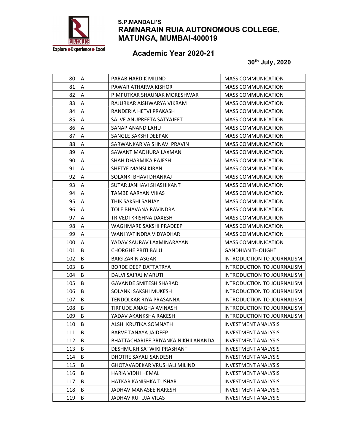

# Academic Year 2020-21

| 80  | A | PARAB HARDIK MILIND                 | <b>MASS COMMUNICATION</b>         |
|-----|---|-------------------------------------|-----------------------------------|
| 81  | Α | PAWAR ATHARVA KISHOR                | <b>MASS COMMUNICATION</b>         |
| 82  | Α | PIMPUTKAR SHAUNAK MORESHWAR         | <b>MASS COMMUNICATION</b>         |
| 83  | A | RAJURKAR AISHWARYA VIKRAM           | <b>MASS COMMUNICATION</b>         |
| 84  | Α | RANDERIA HETVI PRAKASH              | <b>MASS COMMUNICATION</b>         |
| 85  | A | SALVE ANUPREETA SATYAJEET           | <b>MASS COMMUNICATION</b>         |
| 86  | A | SANAP ANAND LAHU                    | <b>MASS COMMUNICATION</b>         |
| 87  | A | SANGLE SAKSHI DEEPAK                | <b>MASS COMMUNICATION</b>         |
| 88  | Α | SARWANKAR VAISHNAVI PRAVIN          | <b>MASS COMMUNICATION</b>         |
| 89  | Α | SAWANT MADHURA LAXMAN               | <b>MASS COMMUNICATION</b>         |
| 90  | A | SHAH DHARMIKA RAJESH                | <b>MASS COMMUNICATION</b>         |
| 91  | Α | SHETYE MANSI KIRAN                  | <b>MASS COMMUNICATION</b>         |
| 92  | A | SOLANKI BHAVI DHANRAJ               | <b>MASS COMMUNICATION</b>         |
| 93  | A | SUTAR JANHAVI SHASHIKANT            | <b>MASS COMMUNICATION</b>         |
| 94  | A | TAMBE AARYAN VIKAS                  | <b>MASS COMMUNICATION</b>         |
| 95  | A | THIK SAKSHI SANJAY                  | <b>MASS COMMUNICATION</b>         |
| 96  | Α | TOLE BHAVANA RAVINDRA               | <b>MASS COMMUNICATION</b>         |
| 97  | Α | TRIVEDI KRISHNA DAXESH              | <b>MASS COMMUNICATION</b>         |
| 98  | Α | WAGHMARE SAKSHI PRADEEP             | <b>MASS COMMUNICATION</b>         |
| 99  | A | WANI YATINDRA VIDYADHAR             | <b>MASS COMMUNICATION</b>         |
| 100 | A | YADAV SAURAV LAXMINARAYAN           | <b>MASS COMMUNICATION</b>         |
| 101 | B | <b>CHORGHE PRITI BALU</b>           | <b>GANDHIAN THOUGHT</b>           |
| 102 | B | <b>BAIG ZARIN ASGAR</b>             | INTRODUCTION TO JOURNALISM        |
| 103 | B | <b>BORDE DEEP DATTATRYA</b>         | INTRODUCTION TO JOURNALISM        |
| 104 | B | DALVI SAIRAJ MARUTI                 | INTRODUCTION TO JOURNALISM        |
| 105 | B | <b>GAVANDE SMITESH SHARAD</b>       | INTRODUCTION TO JOURNALISM        |
| 106 | В | SOLANKI SAKSHI MUKESH               | INTRODUCTION TO JOURNALISM        |
| 107 | B | TENDOLKAR RIYA PRASANNA             | INTRODUCTION TO JOURNALISM        |
| 108 | В | TIRPUDE ANAGHA AVINASH              | INTRODUCTION TO JOURNALISM        |
| 109 | B | YADAV AKANKSHA RAKESH               | <b>INTRODUCTION TO JOURNALISM</b> |
| 110 | B | ALSHI KRUTIKA SOMNATH               | <b>INVESTMENT ANALYSIS</b>        |
| 111 | В | <b>BARVE TANAYA JAIDEEP</b>         | <b>INVESTMENT ANALYSIS</b>        |
| 112 | В | BHATTACHARJEE PRIYANKA NIKHILANANDA | <b>INVESTMENT ANALYSIS</b>        |
| 113 | В | DESHMUKH SATWIKI PRASHANT           | <b>INVESTMENT ANALYSIS</b>        |
| 114 | В | DHOTRE SAYALI SANDESH               | <b>INVESTMENT ANALYSIS</b>        |
| 115 | В | <b>GHOTAVADEKAR VRUSHALI MILIND</b> | <b>INVESTMENT ANALYSIS</b>        |
| 116 | B | HARIA VIDHI HEMAL                   | <b>INVESTMENT ANALYSIS</b>        |
| 117 | В | HATKAR KANISHKA TUSHAR              | <b>INVESTMENT ANALYSIS</b>        |
| 118 | В | JADHAV MANASEE NARESH               | <b>INVESTMENT ANALYSIS</b>        |
| 119 | В | JADHAV RUTUJA VILAS                 | <b>INVESTMENT ANALYSIS</b>        |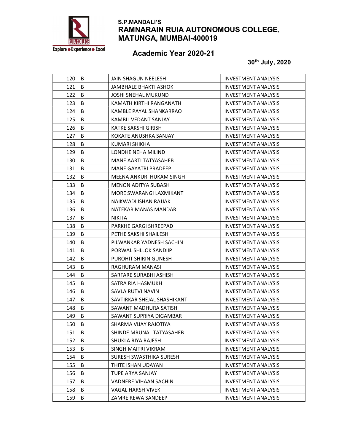

# Academic Year 2020-21

| 120 | B | JAIN SHAGUN NEELESH          | <b>INVESTMENT ANALYSIS</b> |
|-----|---|------------------------------|----------------------------|
| 121 | B | JAMBHALE BHAKTI ASHOK        | <b>INVESTMENT ANALYSIS</b> |
| 122 | B | <b>JOSHI SNEHAL MUKUND</b>   | <b>INVESTMENT ANALYSIS</b> |
| 123 | B | KAMATH KIRTHI RANGANATH      | <b>INVESTMENT ANALYSIS</b> |
| 124 | B | KAMBLE PAYAL SHANKARRAO      | <b>INVESTMENT ANALYSIS</b> |
| 125 | B | KAMBLI VEDANT SANJAY         | <b>INVESTMENT ANALYSIS</b> |
| 126 | B | KATKE SAKSHI GIRISH          | <b>INVESTMENT ANALYSIS</b> |
| 127 | B | KOKATE ANUSHKA SANJAY        | <b>INVESTMENT ANALYSIS</b> |
| 128 | B | KUMARI SHIKHA                | <b>INVESTMENT ANALYSIS</b> |
| 129 | B | LONDHE NEHA MILIND           | <b>INVESTMENT ANALYSIS</b> |
| 130 | B | MANE AARTI TATYASAHEB        | <b>INVESTMENT ANALYSIS</b> |
| 131 | B | <b>MANE GAYATRI PRADEEP</b>  | <b>INVESTMENT ANALYSIS</b> |
| 132 | B | MEENA ANKUR HUKAM SINGH      | <b>INVESTMENT ANALYSIS</b> |
| 133 | B | MENON ADITYA SUBASH          | INVESTMENT ANALYSIS        |
| 134 | B | MORE SWARANGI LAXMIKANT      | <b>INVESTMENT ANALYSIS</b> |
| 135 | B | NAIKWADI ISHAN RAJJAK        | <b>INVESTMENT ANALYSIS</b> |
| 136 | B | NATEKAR MANAS MANDAR         | <b>INVESTMENT ANALYSIS</b> |
| 137 | B | <b>NIKITA</b>                | <b>INVESTMENT ANALYSIS</b> |
| 138 | B | PARKHE GARGI SHREEPAD        | <b>INVESTMENT ANALYSIS</b> |
| 139 | B | PETHE SAKSHI SHAILESH        | <b>INVESTMENT ANALYSIS</b> |
| 140 | B | PILWANKAR YADNESH SACHIN     | INVESTMENT ANALYSIS        |
| 141 | B | PORWAL SHLLOK SANDIIP        | <b>INVESTMENT ANALYSIS</b> |
| 142 | B | PUROHIT SHIRIN GUNESH        | <b>INVESTMENT ANALYSIS</b> |
| 143 | B | RAGHURAM MANASI              | <b>INVESTMENT ANALYSIS</b> |
| 144 | B | SARFARE SURABHI ASHISH       | <b>INVESTMENT ANALYSIS</b> |
| 145 | B | SATRA RIA HASMUKH            | <b>INVESTMENT ANALYSIS</b> |
| 146 | B | SAVLA RUTVI NAVIN            | <b>INVESTMENT ANALYSIS</b> |
| 147 | B | SAVTIRKAR SHEJAL SHASHIKANT  | INVESTMENT ANALYSIS        |
| 148 | B | SAWANT MADHURA SATISH        | <b>INVESTMENT ANALYSIS</b> |
| 149 | B | SAWANT SUPRIYA DIGAMBAR      | <b>INVESTMENT ANALYSIS</b> |
| 150 | B | SHARMA VIJAY RAJOTIYA        | <b>INVESTMENT ANALYSIS</b> |
| 151 | В | SHINDE MRUNAL TATYASAHEB     | <b>INVESTMENT ANALYSIS</b> |
| 152 | В | SHUKLA RIYA RAJESH           | <b>INVESTMENT ANALYSIS</b> |
| 153 | В | SINGH MAITRI VIKRAM          | <b>INVESTMENT ANALYSIS</b> |
| 154 | В | SURESH SWASTHIKA SURESH      | <b>INVESTMENT ANALYSIS</b> |
| 155 | В | THITE ISHAN UDAYAN           | <b>INVESTMENT ANALYSIS</b> |
| 156 | B | TUPE ARYA SANJAY             | <b>INVESTMENT ANALYSIS</b> |
| 157 | В | <b>VADNERE VIHAAN SACHIN</b> | <b>INVESTMENT ANALYSIS</b> |
| 158 | B | VAGAL HARSH VIVEK            | <b>INVESTMENT ANALYSIS</b> |
| 159 | B | ZAMRE REWA SANDEEP           | <b>INVESTMENT ANALYSIS</b> |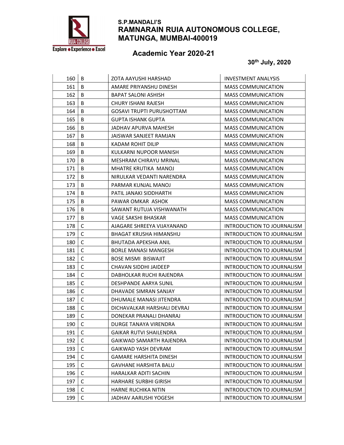

# Academic Year 2020-21

| 160 | B            | ZOTA AAYUSHI HARSHAD             | <b>INVESTMENT ANALYSIS</b>        |
|-----|--------------|----------------------------------|-----------------------------------|
| 161 | B            | AMARE PRIYANSHU DINESH           | <b>MASS COMMUNICATION</b>         |
| 162 | B            | <b>BAPAT SALONI ASHISH</b>       | <b>MASS COMMUNICATION</b>         |
| 163 | B            | CHURY ISHANI RAJESH              | <b>MASS COMMUNICATION</b>         |
| 164 | B            | <b>GOSAVI TRUPTI PURUSHOTTAM</b> | <b>MASS COMMUNICATION</b>         |
| 165 | B            | <b>GUPTA ISHANK GUPTA</b>        | <b>MASS COMMUNICATION</b>         |
| 166 | B            | JADHAV APURVA MAHESH             | <b>MASS COMMUNICATION</b>         |
| 167 | B            | JAISWAR SANJEET RAMJAN           | <b>MASS COMMUNICATION</b>         |
| 168 | B            | <b>KADAM ROHIT DILIP</b>         | <b>MASS COMMUNICATION</b>         |
| 169 | B            | KULKARNI NUPOOR MANISH           | <b>MASS COMMUNICATION</b>         |
| 170 | B            | MESHRAM CHIRAYU MRINAL           | <b>MASS COMMUNICATION</b>         |
| 171 | B            | MHATRE KRUTIKA MANOJ             | <b>MASS COMMUNICATION</b>         |
| 172 | B            | NIRULKAR VEDANTI NARENDRA        | <b>MASS COMMUNICATION</b>         |
| 173 | B            | PARMAR KUNJAL MANOJ              | <b>MASS COMMUNICATION</b>         |
| 174 | B            | PATIL JANAKI SIDDHARTH           | <b>MASS COMMUNICATION</b>         |
| 175 | B            | PAWAR OMKAR ASHOK                | <b>MASS COMMUNICATION</b>         |
| 176 | B            | SAWANT RUTUJA VISHWANATH         | <b>MASS COMMUNICATION</b>         |
| 177 | B            | VAGE SAKSHI BHASKAR              | <b>MASS COMMUNICATION</b>         |
| 178 | $\mathsf{C}$ | AJAGARE SHREEYA VIJAYANAND       | INTRODUCTION TO JOURNALISM        |
| 179 | C            | <b>BHAGAT KRUSHA HIMANSHU</b>    | <b>INTRODUCTION TO JOURNALISM</b> |
| 180 | C            | BHUTADA APEKSHA ANIL             | INTRODUCTION TO JOURNALISM        |
| 181 | C            | <b>BORLE MANASI MANGESH</b>      | INTRODUCTION TO JOURNALISM        |
| 182 | $\mathsf{C}$ | <b>BOSE MISMI BISWAJIT</b>       | INTRODUCTION TO JOURNALISM        |
| 183 | С            | CHAVAN SIDDHI JAIDEEP            | INTRODUCTION TO JOURNALISM        |
| 184 | C            | DABHOLKAR RUCHI RAJENDRA         | INTRODUCTION TO JOURNALISM        |
| 185 | $\mathsf C$  | DESHPANDE AARYA SUNIL            | INTRODUCTION TO JOURNALISM        |
| 186 | C            | DHAVADE SIMRAN SANJAY            | INTRODUCTION TO JOURNALISM        |
| 187 | $\mathsf{C}$ | DHUMALE MANASI JITENDRA          | INTRODUCTION TO JOURNALISM        |
| 188 | C            | DICHAVALKAR HARSHALI DEVRAJ      | INTRODUCTION TO JOURNALISM        |
| 189 | $\mathsf{C}$ | DONEKAR PRANALI DHANRAJ          | INTRODUCTION TO JOURNALISM        |
| 190 | $\mathsf C$  | DURGE TANAYA VIRENDRA            | INTRODUCTION TO JOURNALISM        |
| 191 | $\mathsf C$  | <b>GAIKAR RUTVI SHAILENDRA</b>   | INTRODUCTION TO JOURNALISM        |
| 192 | $\mathsf C$  | GAIKWAD SAMARTH RAJENDRA         | INTRODUCTION TO JOURNALISM        |
| 193 | $\mathsf C$  | GAIKWAD YASH DEVRAM              | <b>INTRODUCTION TO JOURNALISM</b> |
| 194 | $\mathsf C$  | <b>GAMARE HARSHITA DINESH</b>    | INTRODUCTION TO JOURNALISM        |
| 195 | $\mathsf{C}$ | <b>GAVHANE HARSHITA BALU</b>     | <b>INTRODUCTION TO JOURNALISM</b> |
| 196 | $\mathsf C$  | HARALKAR ADITI SACHIN            | INTRODUCTION TO JOURNALISM        |
| 197 | C            | <b>HARHARE SURBHI GIRISH</b>     | INTRODUCTION TO JOURNALISM        |
| 198 | $\mathsf C$  | HARNE RUCHIKA NITIN              | INTRODUCTION TO JOURNALISM        |
| 199 | $\mathsf C$  | JADHAV AARUSHI YOGESH            | INTRODUCTION TO JOURNALISM        |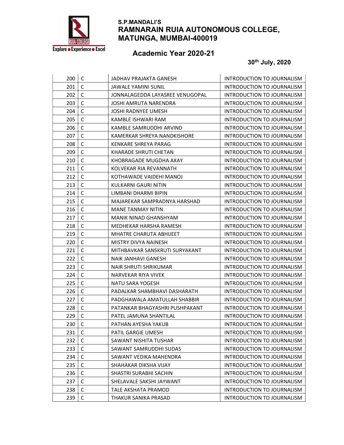

# Academic Year 2020-21

| 200 | C            | JADHAV PRAJAKTA GANESH          | INTRODUCTION TO JOURNALISM        |
|-----|--------------|---------------------------------|-----------------------------------|
| 201 | $\mathsf C$  | JAWALE YAMINI SUNIL             | INTRODUCTION TO JOURNALISM        |
| 202 | $\mathsf{C}$ | JONNALAGEDDA LAYASREE VENUGOPAL | INTRODUCTION TO JOURNALISM        |
| 203 | $\mathsf C$  | <b>JOSHI AMRUTA NARENDRA</b>    | INTRODUCTION TO JOURNALISM        |
| 204 | $\mathsf{C}$ | JOSHI RADNYEE UMESH             | INTRODUCTION TO JOURNALISM        |
| 205 | C            | KAMBLE ISHWARI RAM              | INTRODUCTION TO JOURNALISM        |
| 206 | $\mathsf{C}$ | KAMBLE SAMRUDDHI ARVIND         | INTRODUCTION TO JOURNALISM        |
| 207 | C            | KAMERKAR SHREYA NANDKISHORE     | INTRODUCTION TO JOURNALISM        |
| 208 | $\mathsf C$  | KENKARE SHREYA PARAG            | INTRODUCTION TO JOURNALISM        |
| 209 | $\mathsf{C}$ | KHARADE SHRUTI CHETAN           | INTRODUCTION TO JOURNALISM        |
| 210 | $\mathsf{C}$ | KHOBRAGADE MUGDHA AXAY          | INTRODUCTION TO JOURNALISM        |
| 211 | $\mathsf{C}$ | KOLVEKAR RIA REVANNATH          | INTRODUCTION TO JOURNALISM        |
| 212 | $\mathsf C$  | KOTHAWADE VAIDEHI MANOJ         | INTRODUCTION TO JOURNALISM        |
| 213 | $\mathsf{C}$ | KULKARNI GAURI NITIN            | INTRODUCTION TO JOURNALISM        |
| 214 | C            | LIMBANI DHARMI BIPIN            | INTRODUCTION TO JOURNALISM        |
| 215 | $\mathsf C$  | MAJAREKAR SAMPRADNYA HARSHAD    | <b>INTRODUCTION TO JOURNALISM</b> |
| 216 | $\mathsf C$  | <b>MANE TANMAY NITIN</b>        | INTRODUCTION TO JOURNALISM        |
| 217 | $\mathsf C$  | <b>MANIK NINAD GHANSHYAM</b>    | INTRODUCTION TO JOURNALISM        |
| 218 | $\mathsf C$  | MEDHEKAR HARSHA RAMESH          | INTRODUCTION TO JOURNALISM        |
| 219 | $\mathsf C$  | MHATRE CHARUTA ABHIJEET         | INTRODUCTION TO JOURNALISM        |
| 220 | $\mathsf{C}$ | MISTRY DIVYA NAINESH            | INTRODUCTION TO JOURNALISM        |
| 221 | C            | MITHBAVKAR SANSKRUTI SURYAKANT  | INTRODUCTION TO JOURNALISM        |
| 222 | $\mathsf C$  | <b>NAIK JANHAVI GANESH</b>      | INTRODUCTION TO JOURNALISM        |
| 223 | $\mathsf{C}$ | <b>NAIR SHRUTI SHRIKUMAR</b>    | INTRODUCTION TO JOURNALISM        |
| 224 | $\mathsf C$  | NARVEKAR RIYA VIVEK             | INTRODUCTION TO JOURNALISM        |
| 225 | $\mathsf C$  | NATU SARA YOGESH                | INTRODUCTION TO JOURNALISM        |
| 226 | $\mathsf{C}$ | PADALKAR SHAMBHAVI DASHARATH    | INTRODUCTION TO JOURNALISM        |
| 227 | $\mathsf{C}$ | PADGHAWALA AMATULLAH SHABBIR    | INTRODUCTION TO JOURNALISM        |
| 228 | C            | PATANKAR BHAGYASHRI PUSHPAKANT  | <b>INTRODUCTION TO JOURNALISM</b> |
| 229 | $\mathsf C$  | PATEL JAMUNA SHANTILAL          | <b>INTRODUCTION TO JOURNALISM</b> |
| 230 | $\mathsf{C}$ | PATHAN AYESHA YAKUB             | INTRODUCTION TO JOURNALISM        |
| 231 | $\mathsf C$  | PATIL GARGIE UMESH              | INTRODUCTION TO JOURNALISM        |
| 232 | $\mathsf C$  | SAWANT NISHITA TUSHAR           | <b>INTRODUCTION TO JOURNALISM</b> |
| 233 | $\mathsf C$  | SAWANT SAMRUDDHI SUDAS          | <b>INTRODUCTION TO JOURNALISM</b> |
| 234 | $\mathsf C$  | SAWANT VEDIKA MAHENDRA          | <b>INTRODUCTION TO JOURNALISM</b> |
| 235 | C            | SHAHAKAR DIKSHA VIJAY           | INTRODUCTION TO JOURNALISM        |
| 236 | $\mathsf C$  | SHASTRI SURABHI SACHIN          | INTRODUCTION TO JOURNALISM        |
| 237 | $\mathsf C$  | SHELAVALE SAKSHI JAYWANT        | <b>INTRODUCTION TO JOURNALISM</b> |
| 238 | $\mathsf C$  | TALE AKSHATA PRAMOD             | INTRODUCTION TO JOURNALISM        |
| 239 | $\mathsf C$  | THAKUR SANIKA PRASAD            | INTRODUCTION TO JOURNALISM        |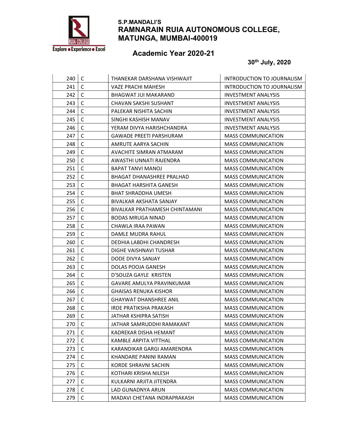

# Academic Year 2020-21

| 240 | C            | THANEKAR DARSHANA VISHWAJIT      | INTRODUCTION TO JOURNALISM |
|-----|--------------|----------------------------------|----------------------------|
| 241 | $\mathsf C$  | VAZE PRACHI MAHESH               | INTRODUCTION TO JOURNALISM |
| 242 | C            | <b>BHAGWAT JUI MAKARAND</b>      | <b>INVESTMENT ANALYSIS</b> |
| 243 | $\mathsf C$  | CHAVAN SAKSHI SUSHANT            | <b>INVESTMENT ANALYSIS</b> |
| 244 | $\mathsf{C}$ | PALEKAR NISHITA SACHIN           | <b>INVESTMENT ANALYSIS</b> |
| 245 | C            | SINGHI KASHISH MANAV             | <b>INVESTMENT ANALYSIS</b> |
| 246 | $\mathsf{C}$ | YERAM DIVYA HARISHCHANDRA        | INVESTMENT ANALYSIS        |
| 247 | C            | <b>GAWADE PREETI PARSHURAM</b>   | <b>MASS COMMUNICATION</b>  |
| 248 | C            | AMRUTE AARYA SACHIN              | <b>MASS COMMUNICATION</b>  |
| 249 | $\mathsf{C}$ | AVACHITE SIMRAN ATMARAM          | <b>MASS COMMUNICATION</b>  |
| 250 | C            | AWASTHI UNNATI RAJENDRA          | <b>MASS COMMUNICATION</b>  |
| 251 | $\mathsf{C}$ | BAPAT TANVI MANOJ                | <b>MASS COMMUNICATION</b>  |
| 252 | C            | BHAGAT DHANASHREE PRALHAD        | <b>MASS COMMUNICATION</b>  |
| 253 | $\mathsf{C}$ | BHAGAT HARSHITA GANESH           | <b>MASS COMMUNICATION</b>  |
| 254 | С            | BHAT SHRADDHA UMESH              | <b>MASS COMMUNICATION</b>  |
| 255 | C            | BIVALKAR AKSHATA SANJAY          | <b>MASS COMMUNICATION</b>  |
| 256 | C            | BIVALKAR PRATHAMESH CHINTAMANI   | <b>MASS COMMUNICATION</b>  |
| 257 | $\mathsf C$  | <b>BODAS MRUGA NINAD</b>         | <b>MASS COMMUNICATION</b>  |
| 258 | $\mathsf{C}$ | CHAWLA IRAA PAWAN                | <b>MASS COMMUNICATION</b>  |
| 259 | C            | DAMLE MUDRA RAHUL                | <b>MASS COMMUNICATION</b>  |
| 260 | C            | DEDHIA LABDHI CHANDRESH          | <b>MASS COMMUNICATION</b>  |
| 261 | С            | DIGHE VAISHNAVI TUSHAR           | <b>MASS COMMUNICATION</b>  |
| 262 | C            | DODE DIVYA SANJAY                | <b>MASS COMMUNICATION</b>  |
| 263 | $\mathsf{C}$ | DOLAS POOJA GANESH               | <b>MASS COMMUNICATION</b>  |
| 264 | $\mathsf C$  | D'SOUZA GAYLE KRISTEN            | <b>MASS COMMUNICATION</b>  |
| 265 | $\mathsf C$  | <b>GAVARE AMULYA PRAVINKUMAR</b> | <b>MASS COMMUNICATION</b>  |
| 266 | C            | <b>GHAISAS RENUKA KISHOR</b>     | <b>MASS COMMUNICATION</b>  |
| 267 | $\mathsf{C}$ | <b>GHAYWAT DHANSHREE ANIL</b>    | <b>MASS COMMUNICATION</b>  |
| 268 | C            | IRDE PRATIKSHA PRAKASH           | <b>MASS COMMUNICATION</b>  |
| 269 | $\mathsf C$  | JATHAR KSHIPRA SATISH            | <b>MASS COMMUNICATION</b>  |
| 270 | $\mathsf{C}$ | JATHAR SAMRUDDHI RAMAKANT        | <b>MASS COMMUNICATION</b>  |
| 271 | C            | KADREKAR DISHA HEMANT            | <b>MASS COMMUNICATION</b>  |
| 272 | $\mathsf C$  | <b>KAMBLE ARPITA VITTHAL</b>     | <b>MASS COMMUNICATION</b>  |
| 273 | C            | KARANDIKAR GARGI AMARENDRA       | <b>MASS COMMUNICATION</b>  |
| 274 | $\mathsf C$  | KHANDARE PANINI RAMAN            | <b>MASS COMMUNICATION</b>  |
| 275 | С            | KORDE SHRAVNI SACHIN             | <b>MASS COMMUNICATION</b>  |
| 276 | $\mathsf C$  | KOTHARI KRISHA NILESH            | <b>MASS COMMUNICATION</b>  |
| 277 | $\mathsf C$  | KULKARNI ARJITA JITENDRA         | <b>MASS COMMUNICATION</b>  |
| 278 | $\mathsf C$  | LAD GUNADNYA ARUN                | <b>MASS COMMUNICATION</b>  |
| 279 | C            | MADAVI CHETANA INDRAPRAKASH      | <b>MASS COMMUNICATION</b>  |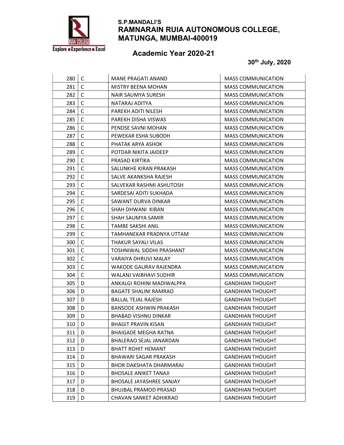

# Academic Year 2020-21

| 280 | C            | <b>MANE PRAGATI ANAND</b>     | <b>MASS COMMUNICATION</b> |
|-----|--------------|-------------------------------|---------------------------|
| 281 | C            | <b>MISTRY BEENA MOHAN</b>     | <b>MASS COMMUNICATION</b> |
| 282 | C            | <b>NAIR SAUMYA SURESH</b>     | <b>MASS COMMUNICATION</b> |
| 283 | C            | NATARAJ ADITYA                | <b>MASS COMMUNICATION</b> |
| 284 | C            | PAREKH ADITI NILESH           | <b>MASS COMMUNICATION</b> |
| 285 | C            | PAREKH DISHA VISWAS           | <b>MASS COMMUNICATION</b> |
| 286 | $\mathsf{C}$ | PENDSE SAVNI MOHAN            | <b>MASS COMMUNICATION</b> |
| 287 | C            | PEWEKAR ESHA SUBODH           | <b>MASS COMMUNICATION</b> |
| 288 | C            | PHATAK ARYA ASHOK             | <b>MASS COMMUNICATION</b> |
| 289 | $\mathsf{C}$ | POTDAR NIKITA JAIDEEP         | <b>MASS COMMUNICATION</b> |
| 290 | C            | PRASAD KIRTIKA                | <b>MASS COMMUNICATION</b> |
| 291 | C            | SALUNKHE KIRAN PRAKASH        | <b>MASS COMMUNICATION</b> |
| 292 | C            | SALVE AKANKSHA RAJESH         | <b>MASS COMMUNICATION</b> |
| 293 | $\mathsf{C}$ | SALVEKAR RASHMI ASHUTOSH      | <b>MASS COMMUNICATION</b> |
| 294 | C            | SARDESAI ADITI SUKHADA        | <b>MASS COMMUNICATION</b> |
| 295 | C            | SAWANT DURVA DINKAR           | <b>MASS COMMUNICATION</b> |
| 296 | $\mathsf C$  | SHAH DHWANI KIRAN             | <b>MASS COMMUNICATION</b> |
| 297 | $\mathsf C$  | SHAH SAUMYA SAMIR             | <b>MASS COMMUNICATION</b> |
| 298 | $\mathsf{C}$ | TAMBE SAKSHI ANIL             | <b>MASS COMMUNICATION</b> |
| 299 | C            | TAMHANEKAR PRADNYA UTTAM      | <b>MASS COMMUNICATION</b> |
| 300 | C            | THAKUR SAYALI VILAS           | <b>MASS COMMUNICATION</b> |
| 301 | C            | TOSHNIWAL SIDDHI PRASHANT     | <b>MASS COMMUNICATION</b> |
| 302 | C            | VARAIYA DHRUVI MALAY          | <b>MASS COMMUNICATION</b> |
| 303 | C            | <b>WAKODE GAURAV RAJENDRA</b> | <b>MASS COMMUNICATION</b> |
| 304 | C            | WALANJ VAIBHAVI SUDHIR        | <b>MASS COMMUNICATION</b> |
| 305 | D            | ANKALGI ROHINI MADIWALPPA     | <b>GANDHIAN THOUGHT</b>   |
| 306 | D            | <b>BAGATE SHALINI RAMRAO</b>  | <b>GANDHIAN THOUGHT</b>   |
| 307 | D            | <b>BALLAL TEJAL RAJESH</b>    | <b>GANDHIAN THOUGHT</b>   |
| 308 | D            | <b>BANSODE ASHWIN PRAKASH</b> | <b>GANDHIAN THOUGHT</b>   |
| 309 | D            | <b>BHABAD VISHNU DINKAR</b>   | <b>GANDHIAN THOUGHT</b>   |
| 310 | D            | <b>BHAGIT PRAVIN KISAN</b>    | <b>GANDHIAN THOUGHT</b>   |
| 311 | D            | <b>BHAIGADE MEGHA RATNA</b>   | <b>GANDHIAN THOUGHT</b>   |
| 312 | D            | BHALERAO SEJAL JANARDAN       | <b>GANDHIAN THOUGHT</b>   |
| 313 | D            | <b>BHATT ROHIT HEMANT</b>     | <b>GANDHIAN THOUGHT</b>   |
| 314 | D            | <b>BHAWARI SAGAR PRAKASH</b>  | <b>GANDHIAN THOUGHT</b>   |
| 315 | D            | BHOR DAKSHATA DHARMARAJ       | <b>GANDHIAN THOUGHT</b>   |
| 316 | D            | <b>BHOSALE ANIKET TANAJI</b>  | <b>GANDHIAN THOUGHT</b>   |
| 317 | D            | BHOSALE JAYASHREE SANJAY      | <b>GANDHIAN THOUGHT</b>   |
| 318 | D            | <b>BHUJBAL PRAMOD PRASAD</b>  | <b>GANDHIAN THOUGHT</b>   |
| 319 | D            | CHAVAN SANKET ADHIKRAO        | <b>GANDHIAN THOUGHT</b>   |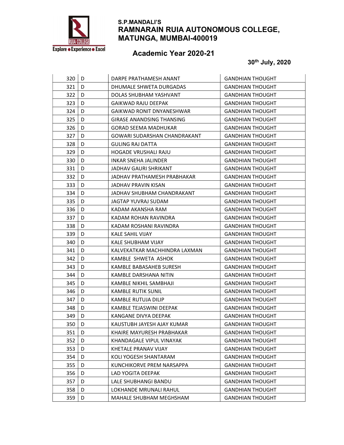

# Academic Year 2020-21

| 320 | D | DARPE PRATHAMESH ANANT           | <b>GANDHIAN THOUGHT</b> |
|-----|---|----------------------------------|-------------------------|
| 321 | D | DHUMALE SHWETA DURGADAS          | <b>GANDHIAN THOUGHT</b> |
| 322 | D | DOLAS SHUBHAM YASHVANT           | <b>GANDHIAN THOUGHT</b> |
| 323 | D | GAIKWAD RAJU DEEPAK              | <b>GANDHIAN THOUGHT</b> |
| 324 | D | GAIKWAD RONIT DNYANESHWAR        | GANDHIAN THOUGHT        |
| 325 | D | <b>GIRASE ANANDSING THANSING</b> | <b>GANDHIAN THOUGHT</b> |
| 326 | D | <b>GORAD SEEMA MADHUKAR</b>      | <b>GANDHIAN THOUGHT</b> |
| 327 | D | GOWARI SUDARSHAN CHANDRAKANT     | <b>GANDHIAN THOUGHT</b> |
| 328 | D | <b>GULING RAJ DATTA</b>          | <b>GANDHIAN THOUGHT</b> |
| 329 | D | <b>HOGADE VRUSHALI RAJU</b>      | <b>GANDHIAN THOUGHT</b> |
| 330 | D | <b>INKAR SNEHA JALINDER</b>      | <b>GANDHIAN THOUGHT</b> |
| 331 | D | <b>JADHAV GAURI SHRIKANT</b>     | <b>GANDHIAN THOUGHT</b> |
| 332 | D | JADHAV PRATHAMESH PRABHAKAR      | <b>GANDHIAN THOUGHT</b> |
| 333 | D | JADHAV PRAVIN KISAN              | <b>GANDHIAN THOUGHT</b> |
| 334 | D | JADHAV SHUBHAM CHANDRAKANT       | GANDHIAN THOUGHT        |
| 335 | D | JAGTAP YUVRAJ SUDAM              | <b>GANDHIAN THOUGHT</b> |
| 336 | D | KADAM AKANSHA RAM                | <b>GANDHIAN THOUGHT</b> |
| 337 | D | KADAM ROHAN RAVINDRA             | <b>GANDHIAN THOUGHT</b> |
| 338 | D | KADAM ROSHANI RAVINDRA           | <b>GANDHIAN THOUGHT</b> |
| 339 | D | <b>KALE SAHIL VIJAY</b>          | <b>GANDHIAN THOUGHT</b> |
| 340 | D | KALE SHUBHAM VIJAY               | GANDHIAN THOUGHT        |
| 341 | D | KALVEKATKAR MACHHINDRA LAXMAN    | <b>GANDHIAN THOUGHT</b> |
| 342 | D | KAMBLE SHWETA ASHOK              | <b>GANDHIAN THOUGHT</b> |
| 343 | D | KAMBLE BABASAHEB SURESH          | <b>GANDHIAN THOUGHT</b> |
| 344 | D | KAMBLE DARSHANA NITIN            | <b>GANDHIAN THOUGHT</b> |
| 345 | D | KAMBLE NIKHIL SAMBHAJI           | <b>GANDHIAN THOUGHT</b> |
| 346 | D | KAMBLE RUTIK SUNIL               | <b>GANDHIAN THOUGHT</b> |
| 347 | D | KAMBLE RUTUJA DILIP              | <b>GANDHIAN THOUGHT</b> |
| 348 | D | KAMBLE TEJASWINI DEEPAK          | <b>GANDHIAN THOUGHT</b> |
| 349 | D | KANGANE DIVYA DEEPAK             | <b>GANDHIAN THOUGHT</b> |
| 350 | D | KAUSTUBH JAYESH AJAY KUMAR       | GANDHIAN THOUGHT        |
| 351 | D | KHAIRE MAYURESH PRABHAKAR        | <b>GANDHIAN THOUGHT</b> |
| 352 | D | KHANDAGALE VIPUL VINAYAK         | <b>GANDHIAN THOUGHT</b> |
| 353 | D | KHETALE PRANAV VIJAY             | <b>GANDHIAN THOUGHT</b> |
| 354 | D | KOLI YOGESH SHANTARAM            | <b>GANDHIAN THOUGHT</b> |
| 355 | D | KUNCHIKORVE PREM NARSAPPA        | GANDHIAN THOUGHT        |
| 356 | D | LAD YOGITA DEEPAK                | <b>GANDHIAN THOUGHT</b> |
| 357 | D | LALE SHUBHANGI BANDU             | <b>GANDHIAN THOUGHT</b> |
| 358 | D | LOKHANDE MRUNALI RAHUL           | <b>GANDHIAN THOUGHT</b> |
| 359 | D | MAHALE SHUBHAM MEGHSHAM          | <b>GANDHIAN THOUGHT</b> |